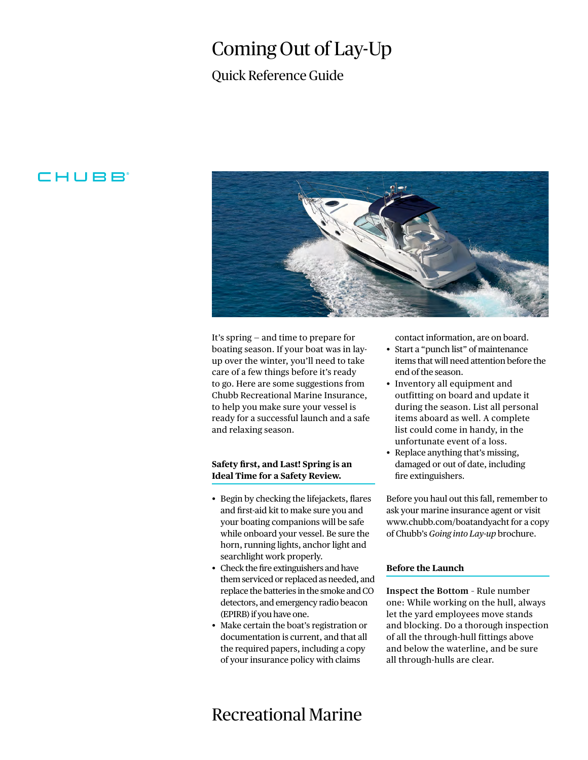# Coming Out of Lay-Up

### Quick Reference Guide

### **CHUBB**



It's spring — and time to prepare for boating season. If your boat was in layup over the winter, you'll need to take care of a few things before it's ready to go. Here are some suggestions from Chubb Recreational Marine Insurance, to help you make sure your vessel is ready for a successful launch and a safe and relaxing season.

#### **Safety first, and Last! Spring is an Ideal Time for a Safety Review.**

- Begin by checking the lifejackets, flares and first-aid kit to make sure you and your boating companions will be safe while onboard your vessel. Be sure the horn, running lights, anchor light and searchlight work properly.
- Check the fire extinguishers and have them serviced or replaced as needed, and replace the batteries in the smoke and CO detectors, and emergency radio beacon (EPIRB) if you have one.
- Make certain the boat's registration or documentation is current, and that all the required papers, including a copy of your insurance policy with claims

#### contact information, are on board.

- Start a "punch list" of maintenance items that will need attention before the end of the season.
- Inventory all equipment and outfitting on board and update it during the season. List all personal items aboard as well. A complete list could come in handy, in the unfortunate event of a loss.
- Replace anything that's missing, damaged or out of date, including fire extinguishers.

Before you haul out this fall, remember to ask your marine insurance agent or visit www.chubb.com/boatandyacht for a copy of Chubb's *Going into Lay-up* brochure.

#### **Before the Launch**

**Inspect the Bottom** – Rule number one: While working on the hull, always let the yard employees move stands and blocking. Do a thorough inspection of all the through-hull fittings above and below the waterline, and be sure all through-hulls are clear.

## Recreational Marine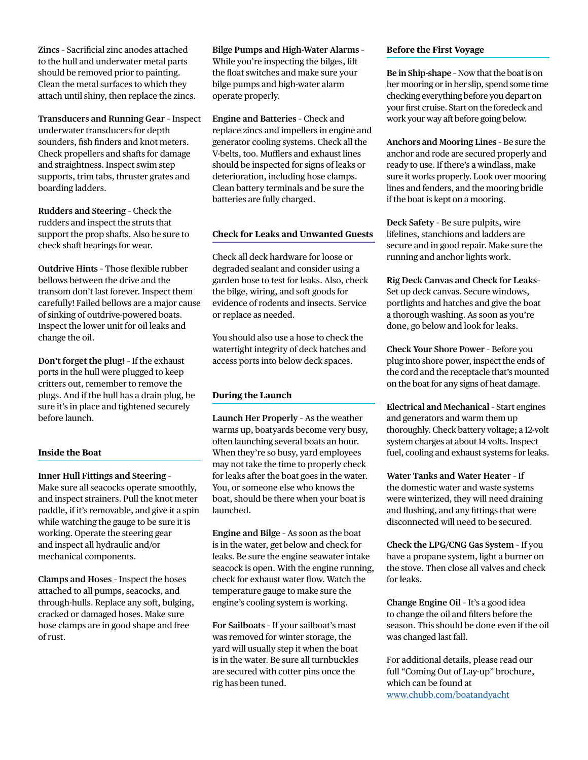**Zincs** – Sacrificial zinc anodes attached to the hull and underwater metal parts should be removed prior to painting. Clean the metal surfaces to which they attach until shiny, then replace the zincs.

**Transducers and Running Gear** – Inspect underwater transducers for depth sounders, fish finders and knot meters. Check propellers and shafts for damage and straightness. Inspect swim step supports, trim tabs, thruster grates and boarding ladders.

**Rudders and Steering** – Check the rudders and inspect the struts that support the prop shafts. Also be sure to check shaft bearings for wear.

**Outdrive Hints** – Those flexible rubber bellows between the drive and the transom don't last forever. Inspect them carefully! Failed bellows are a major cause of sinking of outdrive-powered boats. Inspect the lower unit for oil leaks and change the oil.

**Don't forget the plug!** – If the exhaust ports in the hull were plugged to keep critters out, remember to remove the plugs. And if the hull has a drain plug, be sure it's in place and tightened securely before launch.

#### **Inside the Boat**

**Inner Hull Fittings and Steering** –

Make sure all seacocks operate smoothly, and inspect strainers. Pull the knot meter paddle, if it's removable, and give it a spin while watching the gauge to be sure it is working. Operate the steering gear and inspect all hydraulic and/or mechanical components.

**Clamps and Hoses** – Inspect the hoses attached to all pumps, seacocks, and through-hulls. Replace any soft, bulging, cracked or damaged hoses. Make sure hose clamps are in good shape and free of rust.

**Bilge Pumps and High-Water Alarms** – While you're inspecting the bilges, lift the float switches and make sure your bilge pumps and high-water alarm operate properly.

**Engine and Batteries** – Check and replace zincs and impellers in engine and generator cooling systems. Check all the V-belts, too. Mufflers and exhaust lines should be inspected for signs of leaks or deterioration, including hose clamps. Clean battery terminals and be sure the batteries are fully charged.

#### **Check for Leaks and Unwanted Guests**

Check all deck hardware for loose or degraded sealant and consider using a garden hose to test for leaks. Also, check the bilge, wiring, and soft goods for evidence of rodents and insects. Service or replace as needed.

You should also use a hose to check the watertight integrity of deck hatches and access ports into below deck spaces.

#### **During the Launch**

**Launch Her Properly** – As the weather warms up, boatyards become very busy, often launching several boats an hour. When they're so busy, yard employees may not take the time to properly check for leaks after the boat goes in the water. You, or someone else who knows the boat, should be there when your boat is launched.

**Engine and Bilge** – As soon as the boat is in the water, get below and check for leaks. Be sure the engine seawater intake seacock is open. With the engine running, check for exhaust water flow. Watch the temperature gauge to make sure the engine's cooling system is working.

**For Sailboats** – If your sailboat's mast was removed for winter storage, the yard will usually step it when the boat is in the water. Be sure all turnbuckles are secured with cotter pins once the rig has been tuned.

#### **Before the First Voyage**

**Be in Ship-shape** – Now that the boat is on her mooring or in her slip, spend some time checking everything before you depart on your first cruise. Start on the foredeck and work your way aft before going below.

**Anchors and Mooring Lines** – Be sure the anchor and rode are secured properly and ready to use. If there's a windlass, make sure it works properly. Look over mooring lines and fenders, and the mooring bridle if the boat is kept on a mooring.

**Deck Safety** – Be sure pulpits, wire lifelines, stanchions and ladders are secure and in good repair. Make sure the running and anchor lights work.

**Rig Deck Canvas and Check for Leaks**– Set up deck canvas. Secure windows, portlights and hatches and give the boat a thorough washing. As soon as you're done, go below and look for leaks.

**Check Your Shore Power** – Before you plug into shore power, inspect the ends of the cord and the receptacle that's mounted on the boat for any signs of heat damage.

**Electrical and Mechanical** – Start engines and generators and warm them up thoroughly. Check battery voltage; a 12-volt system charges at about 14 volts. Inspect fuel, cooling and exhaust systems for leaks.

**Water Tanks and Water Heater** – If the domestic water and waste systems were winterized, they will need draining and flushing, and any fittings that were disconnected will need to be secured.

**Check the LPG/CNG Gas System** – If you have a propane system, light a burner on the stove. Then close all valves and check for leaks.

**Change Engine Oil** – It's a good idea to change the oil and filters before the season. This should be done even if the oil was changed last fall.

For additional details, please read our full "Coming Out of Lay-up" brochure, which can be found at <www.chubb.com/boatandyacht>